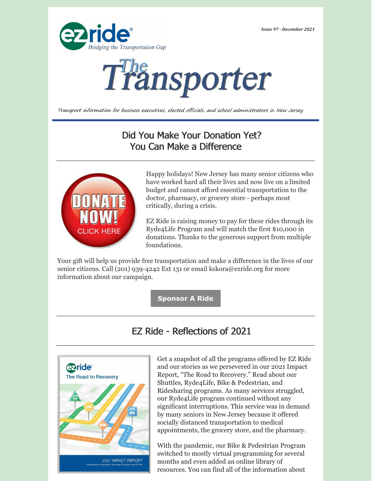*Issue 97 - December 2021*





Transport information for business executives, elected officials, and school administrators in New Jersey

## Did You Make Your Donation Yet? You Can Make a Difference



Happy holidays! New Jersey has many senior citizens who have worked hard all their lives and now live on a limited budget and cannot afford essential transportation to the doctor, pharmacy, or grocery store - perhaps most critically, during a crisis.

EZ Ride is raising money to pay for these rides through its Ryde4Life Program and will match the first \$10,000 in donations. Thanks to the generous support from multiple foundations.

Your gift will help us provide free transportation and make a difference in the lives of our senior citizens. Call (201) 939-4242 Ext 131 or email [kskora@ezride.org](mailto:kskora@ezride.org) for more information about our campaign.

**[Sponsor](https://ezride.org/transportation/senior-transportation/fundraising/) A Ride**

## EZ Ride - Reflections of 2021



Get a snapshot of all the programs offered by EZ Ride and our stories as we persevered in our 2021 Impact Report, "The Road to Recovery." Read about our Shuttles, Ryde4Life, Bike & Pedestrian, and Ridesharing programs. As many services struggled, our Ryde4Life program continued without any significant interruptions. This service was in demand by many seniors in New Jersey because it offered socially distanced transportation to medical appointments, the grocery store, and the pharmacy.

With the pandemic, our Bike & Pedestrian Program switched to mostly virtual programming for several months and even added an online library of resources. You can find all of the information about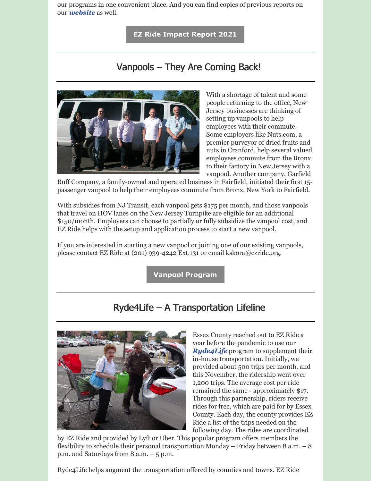our programs in one convenient place. And you can find copies of previous reports on our *[website](https://ezride.org/annual-reports/)* as well.

**EZ Ride [Impact](https://ezride.org/wp-content/uploads/2021/12/2021_Annual-Report.pdf) Report 2021**

# Vanpools – They Are Coming Back!



With a shortage of talent and some people returning to the office, New Jersey businesses are thinking of setting up vanpools to help employees with their commute. Some employers like Nuts.com, a premier purveyor of dried fruits and nuts in Cranford, help several valued employees commute from the Bronx to their factory in New Jersey with a vanpool. Another company, Garfield

Buff Company, a family-owned and operated business in Fairfield, initiated their first 15 passenger vanpool to help their employees commute from Bronx, New York to Fairfield.

With subsidies from NJ Transit, each vanpool gets \$175 per month, and those vanpools that travel on HOV lanes on the New Jersey Turnpike are eligible for an additional \$150/month. Employers can choose to partially or fully subsidize the vanpool cost, and EZ Ride helps with the setup and application process to start a new vanpool.

If you are interested in starting a new vanpool or joining one of our existing vanpools, please contact EZ Ride at (201) 939-4242 Ext.131 or email [kskora@ezride.org](mailto:kskora@ezride.org).

**Vanpool [Program](https://ezride.org/transportation/vanpools/)**

#### Ryde4Life – A Transportation Lifeline



Essex County reached out to EZ Ride a year before the pandemic to use our *Ryde4Life* program to supplement their in-house transportation. Initially, we provided about 500 trips per month, and this November, the ridership went over 1,200 trips. The average cost per ride remained the same - approximately \$17. Through this partnership, riders receive rides for free, which are paid for by Essex County. Each day, the county provides EZ Ride a list of the trips needed on the following day. The rides are coordinated

by EZ Ride and provided by Lyft or Uber. This popular program offers members the flexibility to schedule their personal transportation Monday – Friday between 8 a.m. – 8 p.m. and Saturdays from 8 a.m. – 5 p.m.

Ryde4Life helps augment the transportation offered by counties and towns. EZ Ride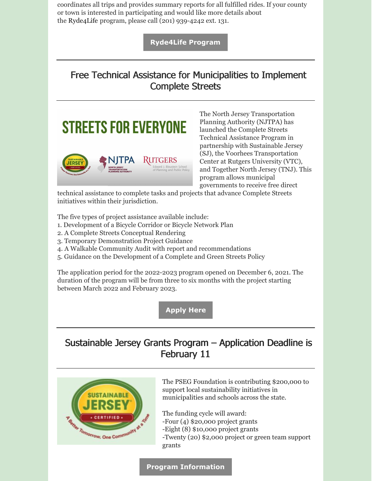coordinates all trips and provides summary reports for all fulfilled rides. If your county or town is interested in participating and would like more details about the Ryde4Life program, please call (201) 939-4242 ext. 131.

**[Ryde4Life](https://ezride.org/transportation/senior-transportation/) Program**

# Free Technical Assistance for Municipalities to Implement Complete Streets





The North Jersey Transportation Planning Authority (NJTPA) has launched the Complete Streets Technical Assistance Program in partnership with Sustainable Jersey (SJ), the Voorhees Transportation Center at Rutgers University (VTC), and Together North Jersey (TNJ). This program allows municipal governments to receive free direct

technical assistance to complete tasks and projects that advance Complete Streets initiatives within their jurisdiction.

The five types of project assistance available include:

- 1. Development of a Bicycle Corridor or Bicycle Network Plan
- 2. A Complete Streets Conceptual Rendering
- 3. Temporary Demonstration Project Guidance
- 4. A Walkable Community Audit with report and recommendations
- 5. Guidance on the Development of a Complete and Green Streets Policy

The application period for the 2022-2023 program opened on December 6, 2021. The duration of the program will be from three to six months with the project starting between March 2022 and February 2023.

**[Apply](https://www.sustainablejersey.com/index.php?id=451) Here**

# Sustainable Jersey Grants Program – Application Deadline is February 11



The PSEG Foundation is contributing \$200,000 to support local sustainability initiatives in municipalities and schools across the state.

The funding cycle will award:

- -Four (4) \$20,000 project grants
- -Eight (8) \$10,000 project grants

-Twenty (20) \$2,000 project or green team support grants

**Program [Information](https://www.sustainablejersey.com/grants/pseg-cycle/)**